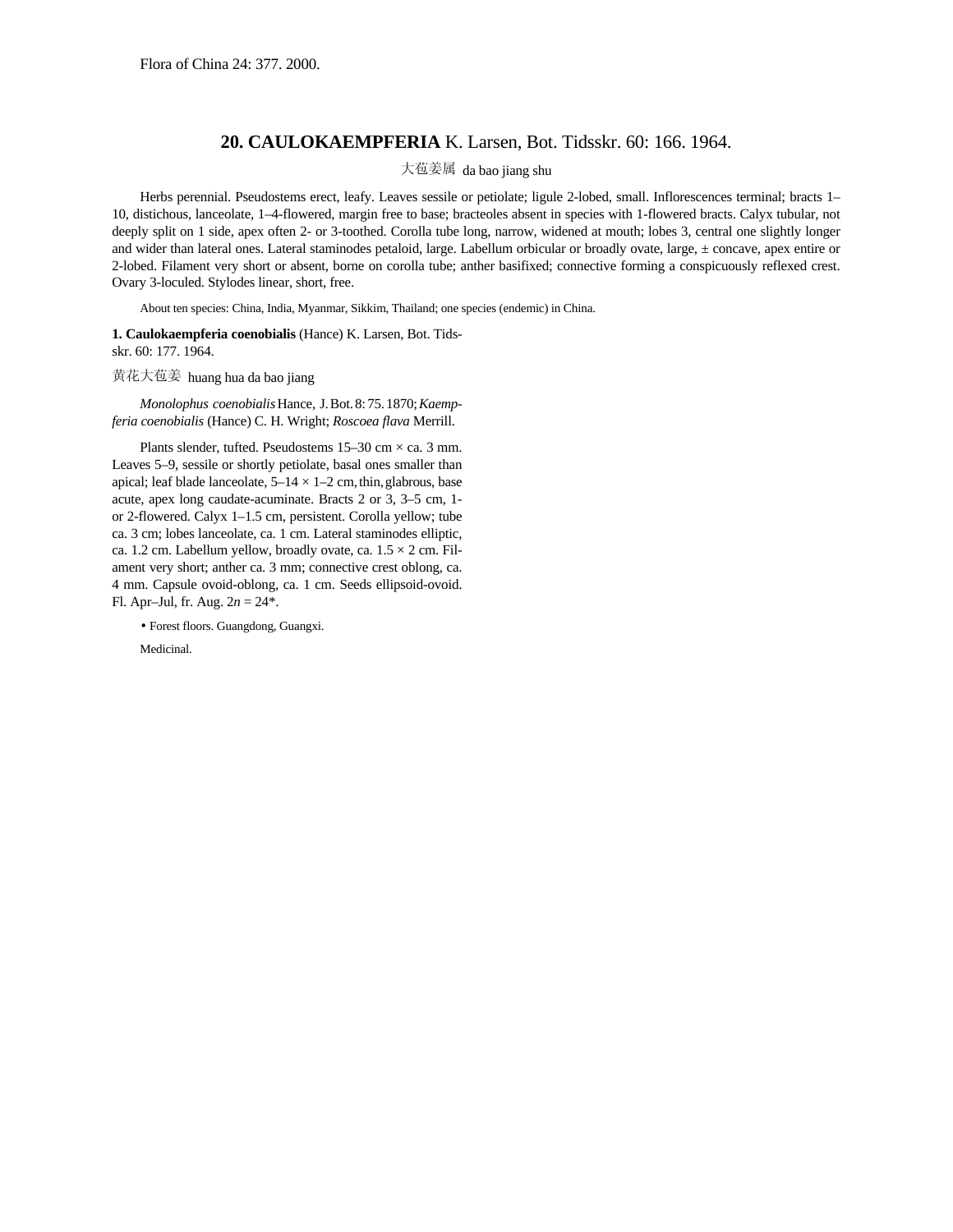## **20. CAULOKAEMPFERIA** K. Larsen, Bot. Tidsskr. 60: 166. 1964.

## 大苞姜属 da bao jiang shu

Herbs perennial. Pseudostems erect, leafy. Leaves sessile or petiolate; ligule 2-lobed, small. Inflorescences terminal; bracts 1-10, distichous, lanceolate, 1–4-flowered, margin free to base; bracteoles absent in species with 1-flowered bracts. Calyx tubular, not deeply split on 1 side, apex often 2- or 3-toothed. Corolla tube long, narrow, widened at mouth; lobes 3, central one slightly longer and wider than lateral ones. Lateral staminodes petaloid, large. Labellum orbicular or broadly ovate, large, ± concave, apex entire or 2-lobed. Filament very short or absent, borne on corolla tube; anther basifixed; connective forming a conspicuously reflexed crest. Ovary 3-loculed. Stylodes linear, short, free.

About ten species: China, India, Myanmar, Sikkim, Thailand; one species (endemic) in China.

**1. Caulokaempferia coenobialis** (Hance) K. Larsen, Bot. Tidsskr. 60: 177. 1964.

## 黄花大苞姜 huang hua da bao jiang

*Monolophus coenobialis*Hance, J.Bot.8:75.1870;*Kaempferia coenobialis* (Hance) C. H. Wright; *Roscoea flava* Merrill.

Plants slender, tufted. Pseudostems  $15-30$  cm  $\times$  ca. 3 mm. Leaves 5–9, sessile or shortly petiolate, basal ones smaller than apical; leaf blade lanceolate,  $5-14 \times 1-2$  cm, thin, glabrous, base acute, apex long caudate-acuminate. Bracts 2 or 3, 3–5 cm, 1 or 2-flowered. Calyx 1–1.5 cm, persistent. Corolla yellow; tube ca. 3 cm; lobes lanceolate, ca. 1 cm. Lateral staminodes elliptic, ca. 1.2 cm. Labellum yellow, broadly ovate, ca.  $1.5 \times 2$  cm. Filament very short; anther ca. 3 mm; connective crest oblong, ca. 4 mm. Capsule ovoid-oblong, ca. 1 cm. Seeds ellipsoid-ovoid. Fl. Apr–Jul, fr. Aug. 2*n* = 24\*.

• Forest floors. Guangdong, Guangxi.

Medicinal.